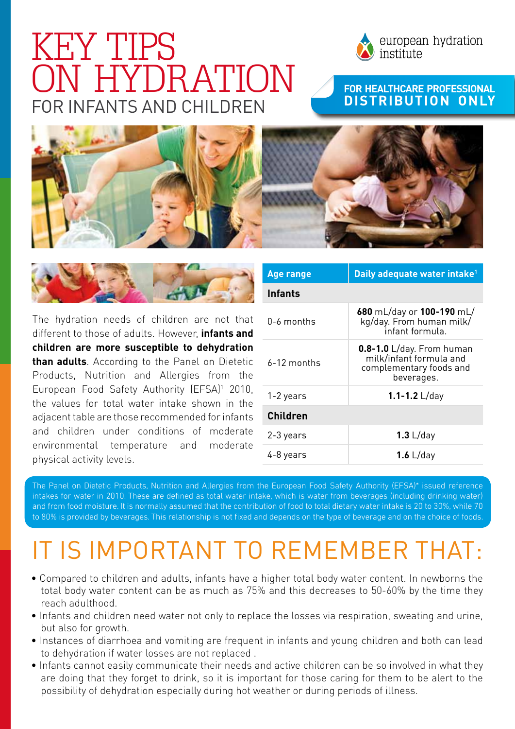

# for infants and children KEY TIPS ON HYDRATION

### **For HeaLthcare Professional distribution only**





The hydration needs of children are not that different to those of adults. However, **infants and children are more susceptible to dehydration than adults**. According to the Panel on Dietetic Products, Nutrition and Allergies from the European Food Safety Authority (EFSA)<sup>1</sup> 2010, the values for total water intake shown in the adjacent table are those recommended for infants and children under conditions of moderate environmental temperature and moderate physical activity levels.

| <b>Age range</b> | Daily adequate water intake <sup>1</sup>                                                          |
|------------------|---------------------------------------------------------------------------------------------------|
| <b>Infants</b>   |                                                                                                   |
| 0-6 months       | 680 mL/day or 100-190 mL/<br>kg/day. From human milk/<br>infant formula                           |
| $6-12$ months    | $0.8 - 1.0$ L/day. From human<br>milk/infant formula and<br>complementary foods and<br>beverages. |
| 1-2 years        | 1.1-1.2 $L/day$                                                                                   |
| <b>Children</b>  |                                                                                                   |
| 2-3 years        | 1.3 $L/day$                                                                                       |
| 4-8 years        | 1.6 $L/day$                                                                                       |

The Panel on Dietetic Products, Nutrition and Allergies from the European Food Safety Authority (EFSA)\* issued reference intakes for water in 2010. These are defined as total water intake, which is water from beverages (including drinking water) and from food moisture. It is normally assumed that the contribution of food to total dietary water intake is 20 to 30%, while 70 to 80% is provided by beverages. This relationship is not fixed and depends on the type of beverage and on the choice of foods.

# It is important to remember that:

- Compared to children and adults, infants have a higher total body water content. In newborns the total body water content can be as much as 75% and this decreases to 50-60% by the time they reach adulthood.
- Infants and children need water not only to replace the losses via respiration, sweating and urine, but also for growth.
- Instances of diarrhoea and vomiting are frequent in infants and young children and both can lead to dehydration if water losses are not replaced .
- Infants cannot easily communicate their needs and active children can be so involved in what they are doing that they forget to drink, so it is important for those caring for them to be alert to the possibility of dehydration especially during hot weather or during periods of illness.